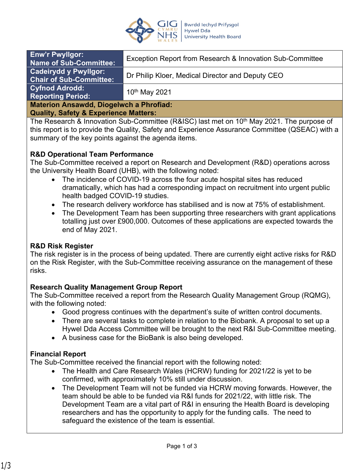

| <b>Enw'r Pwyllgor:</b><br><b>Name of Sub-Committee:</b>        | Exception Report from Research & Innovation Sub-Committee |
|----------------------------------------------------------------|-----------------------------------------------------------|
| <b>Cadeirydd y Pwyllgor:</b><br><b>Chair of Sub-Committee:</b> | Dr Philip Kloer, Medical Director and Deputy CEO          |
| <b>Cyfnod Adrodd:</b><br><b>Reporting Period:</b>              | 10 <sup>th</sup> May 2021                                 |
| <b>Materion Ansawdd, Diogelwch a Phrofiad:</b>                 |                                                           |

#### **Quality, Safety & Experience Matters:**

The Research & Innovation Sub-Committee (R&ISC) last met on 10<sup>th</sup> May 2021. The purpose of this report is to provide the Quality, Safety and Experience Assurance Committee (QSEAC) with a summary of the key points against the agenda items.

## **R&D Operational Team Performance**

The Sub-Committee received a report on Research and Development (R&D) operations across the University Health Board (UHB), with the following noted:

- The incidence of COVID-19 across the four acute hospital sites has reduced dramatically, which has had a corresponding impact on recruitment into urgent public health badged COVID-19 studies.
- The research delivery workforce has stabilised and is now at 75% of establishment.
- The Development Team has been supporting three researchers with grant applications totalling just over £900,000. Outcomes of these applications are expected towards the end of May 2021.

### **R&D Risk Register**

The risk register is in the process of being updated. There are currently eight active risks for R&D on the Risk Register, with the Sub-Committee receiving assurance on the management of these risks.

### **Research Quality Management Group Report**

The Sub-Committee received a report from the Research Quality Management Group (RQMG), with the following noted:

- Good progress continues with the department's suite of written control documents.
- There are several tasks to complete in relation to the Biobank. A proposal to set up a Hywel Dda Access Committee will be brought to the next R&I Sub-Committee meeting.
- A business case for the BioBank is also being developed.

### **Financial Report**

The Sub-Committee received the financial report with the following noted:

- The Health and Care Research Wales (HCRW) funding for 2021/22 is yet to be confirmed, with approximately 10% still under discussion.
- The Development Team will not be funded via HCRW moving forwards. However, the team should be able to be funded via R&I funds for 2021/22, with little risk. The Development Team are a vital part of R&I in ensuring the Health Board is developing researchers and has the opportunity to apply for the funding calls. The need to safeguard the existence of the team is essential.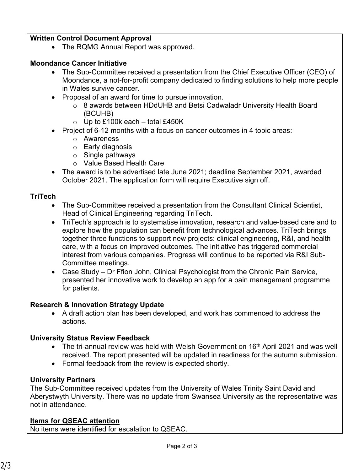## **Written Control Document Approval**

• The RQMG Annual Report was approved.

## **Moondance Cancer Initiative**

- The Sub-Committee received a presentation from the Chief Executive Officer (CEO) of Moondance, a not-for-profit company dedicated to finding solutions to help more people in Wales survive cancer.
- Proposal of an award for time to pursue innovation.
	- o 8 awards between HDdUHB and Betsi Cadwaladr University Health Board (BCUHB)
	- $\circ$  Up to £100k each total £450K
- Project of 6-12 months with a focus on cancer outcomes in 4 topic areas:
	- o Awareness
	- o Early diagnosis
	- $\circ$  Single pathways
	- o Value Based Health Care
- The award is to be advertised late June 2021; deadline September 2021, awarded October 2021. The application form will require Executive sign off.

## **TriTech**

- The Sub-Committee received a presentation from the Consultant Clinical Scientist, Head of Clinical Engineering regarding TriTech.
- TriTech's approach is to systematise innovation, research and value-based care and to explore how the population can benefit from technological advances. TriTech brings together three functions to support new projects: clinical engineering, R&I, and health care, with a focus on improved outcomes. The initiative has triggered commercial interest from various companies. Progress will continue to be reported via R&I Sub-Committee meetings.
- Case Study Dr Ffion John, Clinical Psychologist from the Chronic Pain Service, presented her innovative work to develop an app for a pain management programme for patients.

## **Research & Innovation Strategy Update**

 A draft action plan has been developed, and work has commenced to address the actions.

# **University Status Review Feedback**

- The tri-annual review was held with Welsh Government on 16<sup>th</sup> April 2021 and was well received. The report presented will be updated in readiness for the autumn submission.
- Formal feedback from the review is expected shortly.

# **University Partners**

The Sub-Committee received updates from the University of Wales Trinity Saint David and Aberystwyth University. There was no update from Swansea University as the representative was not in attendance.

# **Items for QSEAC attention**

No items were identified for escalation to QSEAC.